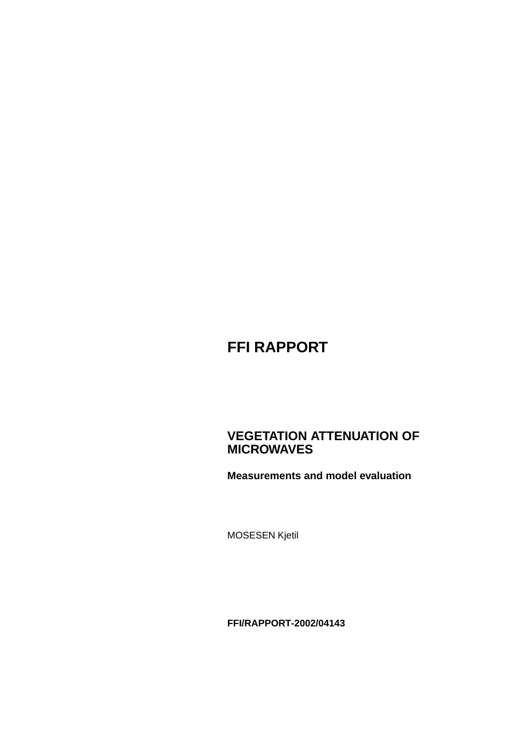# **FFI RAPPORT**

### **VEGETATION ATTENUATION OF MICROWAVES**

**Measurements and model evaluation**

MOSESEN Kjetil

**FFI/RAPPORT-2002/04143**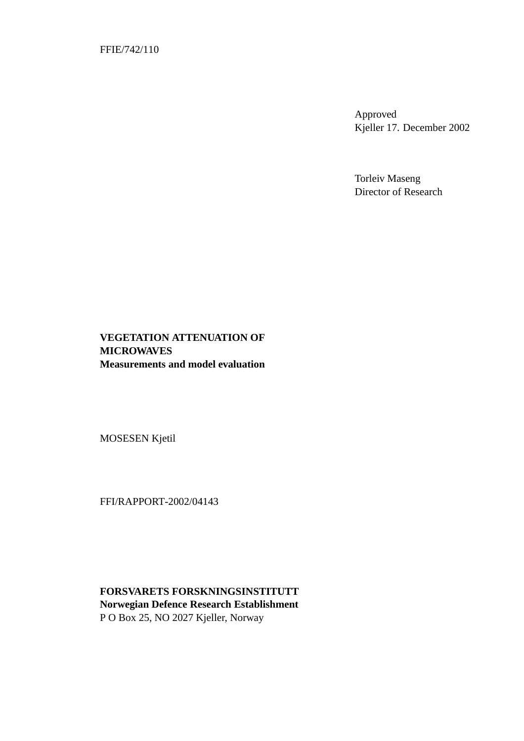FFIE/742/110

Approved Kjeller 17. December 2002

Torleiv Maseng Director of Research

#### **VEGETATION ATTENUATION OF MICROWAVES Measurements and model evaluation**

MOSESEN Kjetil

FFI/RAPPORT-2002/04143

**FORSVARETS FORSKNINGSINSTITUTT Norwegian Defence Research Establishment** P O Box 25, NO 2027 Kjeller, Norway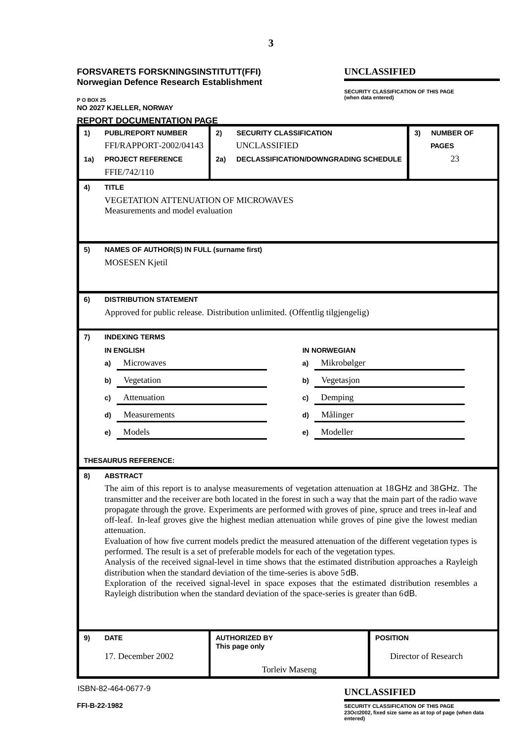#### **FORSVARETS FORSKNINGSINSTITUTT(FFI) UNCLASSIFIED Norwegian Defence Research Establishment**

# **P O BOX 25 NO 2027 KJELLER, NORWAY**

**SECURITY CLASSIFICATION OF THIS PAGE (when data entered)**

| <b>REPORT DOCUMENTATION PAGE</b>                                                                                                                                                                                           |  |  |  |  |  |  |
|----------------------------------------------------------------------------------------------------------------------------------------------------------------------------------------------------------------------------|--|--|--|--|--|--|
| <b>NUMBER OF</b>                                                                                                                                                                                                           |  |  |  |  |  |  |
| <b>PAGES</b>                                                                                                                                                                                                               |  |  |  |  |  |  |
| 23                                                                                                                                                                                                                         |  |  |  |  |  |  |
|                                                                                                                                                                                                                            |  |  |  |  |  |  |
|                                                                                                                                                                                                                            |  |  |  |  |  |  |
|                                                                                                                                                                                                                            |  |  |  |  |  |  |
|                                                                                                                                                                                                                            |  |  |  |  |  |  |
|                                                                                                                                                                                                                            |  |  |  |  |  |  |
|                                                                                                                                                                                                                            |  |  |  |  |  |  |
|                                                                                                                                                                                                                            |  |  |  |  |  |  |
|                                                                                                                                                                                                                            |  |  |  |  |  |  |
|                                                                                                                                                                                                                            |  |  |  |  |  |  |
|                                                                                                                                                                                                                            |  |  |  |  |  |  |
|                                                                                                                                                                                                                            |  |  |  |  |  |  |
|                                                                                                                                                                                                                            |  |  |  |  |  |  |
|                                                                                                                                                                                                                            |  |  |  |  |  |  |
|                                                                                                                                                                                                                            |  |  |  |  |  |  |
| Vegetasjon<br>b)                                                                                                                                                                                                           |  |  |  |  |  |  |
|                                                                                                                                                                                                                            |  |  |  |  |  |  |
|                                                                                                                                                                                                                            |  |  |  |  |  |  |
|                                                                                                                                                                                                                            |  |  |  |  |  |  |
|                                                                                                                                                                                                                            |  |  |  |  |  |  |
|                                                                                                                                                                                                                            |  |  |  |  |  |  |
|                                                                                                                                                                                                                            |  |  |  |  |  |  |
|                                                                                                                                                                                                                            |  |  |  |  |  |  |
| The aim of this report is to analyse measurements of vegetation attenuation at 18GHz and 38GHz. The                                                                                                                        |  |  |  |  |  |  |
| transmitter and the receiver are both located in the forest in such a way that the main part of the radio wave<br>propagate through the grove. Experiments are performed with groves of pine, spruce and trees in-leaf and |  |  |  |  |  |  |
| off-leaf. In-leaf groves give the highest median attenuation while groves of pine give the lowest median                                                                                                                   |  |  |  |  |  |  |
|                                                                                                                                                                                                                            |  |  |  |  |  |  |
| Evaluation of how five current models predict the measured attenuation of the different vegetation types is                                                                                                                |  |  |  |  |  |  |
| Analysis of the received signal-level in time shows that the estimated distribution approaches a Rayleigh                                                                                                                  |  |  |  |  |  |  |
|                                                                                                                                                                                                                            |  |  |  |  |  |  |
| Exploration of the received signal-level in space exposes that the estimated distribution resembles a                                                                                                                      |  |  |  |  |  |  |
|                                                                                                                                                                                                                            |  |  |  |  |  |  |
|                                                                                                                                                                                                                            |  |  |  |  |  |  |
|                                                                                                                                                                                                                            |  |  |  |  |  |  |
| Director of Research                                                                                                                                                                                                       |  |  |  |  |  |  |
|                                                                                                                                                                                                                            |  |  |  |  |  |  |

ISBN-82-464-0677-9

**UNCLASSIFIED**

**FFI-B-22-1982 SECURITY CLASSIFICATION OF THIS PAGE 23Oct2002, fixed size same as at top of page (when data entered)**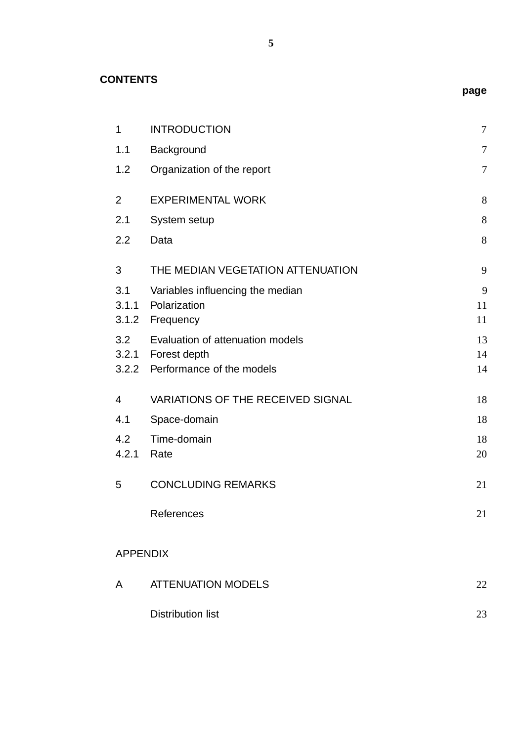**CONTENTS**

| $\mathbf{1}$    | <b>INTRODUCTION</b>                                   | $\boldsymbol{7}$ |
|-----------------|-------------------------------------------------------|------------------|
| 1.1             | Background                                            | 7                |
| 1.2             | Organization of the report                            | 7                |
| 2               | <b>EXPERIMENTAL WORK</b>                              | 8                |
| 2.1             | System setup                                          | 8                |
| 2.2             | Data                                                  | 8                |
| 3               | THE MEDIAN VEGETATION ATTENUATION                     | 9                |
| 3.1             | Variables influencing the median                      | 9                |
|                 | 3.1.1 Polarization                                    | 11               |
|                 | 3.1.2 Frequency                                       | 11               |
| 3.2             | Evaluation of attenuation models                      | 13               |
|                 | 3.2.1 Forest depth<br>3.2.2 Performance of the models | 14<br>14         |
|                 |                                                       |                  |
| $\overline{4}$  | <b>VARIATIONS OF THE RECEIVED SIGNAL</b>              | 18               |
| 4.1             | Space-domain                                          | 18               |
| 4.2             | Time-domain                                           | 18               |
| 4.2.1           | Rate                                                  | 20               |
| 5               | <b>CONCLUDING REMARKS</b>                             | 21               |
|                 | References                                            | 21               |
| <b>APPENDIX</b> |                                                       |                  |
| A               | <b>ATTENUATION MODELS</b>                             | 22               |
|                 | <b>Distribution list</b>                              | 23               |

**page**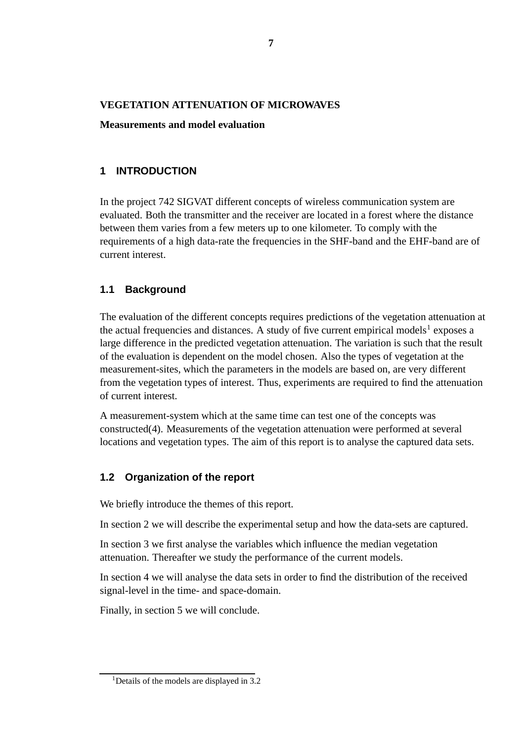#### **VEGETATION ATTENUATION OF MICROWAVES**

#### **Measurements and model evaluation**

#### **1 INTRODUCTION**

In the project 742 SIGVAT different concepts of wireless communication system are evaluated. Both the transmitter and the receiver are located in a forest where the distance between them varies from a few meters up to one kilometer. To comply with the requirements of a high data-rate the frequencies in the SHF-band and the EHF-band are of current interest.

#### **1.1 Background**

The evaluation of the different concepts requires predictions of the vegetation attenuation at the actual frequencies and distances. A study of five current empirical models<sup>1</sup> exposes a large difference in the predicted vegetation attenuation. The variation is such that the result of the evaluation is dependent on the model chosen. Also the types of vegetation at the measurement-sites, which the parameters in the models are based on, are very different from the vegetation types of interest. Thus, experiments are required to find the attenuation of current interest.

A measurement-system which at the same time can test one of the concepts was constructed(4). Measurements of the vegetation attenuation were performed at several locations and vegetation types. The aim of this report is to analyse the captured data sets.

#### **1.2 Organization of the report**

We briefly introduce the themes of this report.

In section 2 we will describe the experimental setup and how the data-sets are captured.

In section 3 we first analyse the variables which influence the median vegetation attenuation. Thereafter we study the performance of the current models.

In section 4 we will analyse the data sets in order to find the distribution of the received signal-level in the time- and space-domain.

Finally, in section 5 we will conclude.

<sup>&</sup>lt;sup>1</sup>Details of the models are displayed in 3.2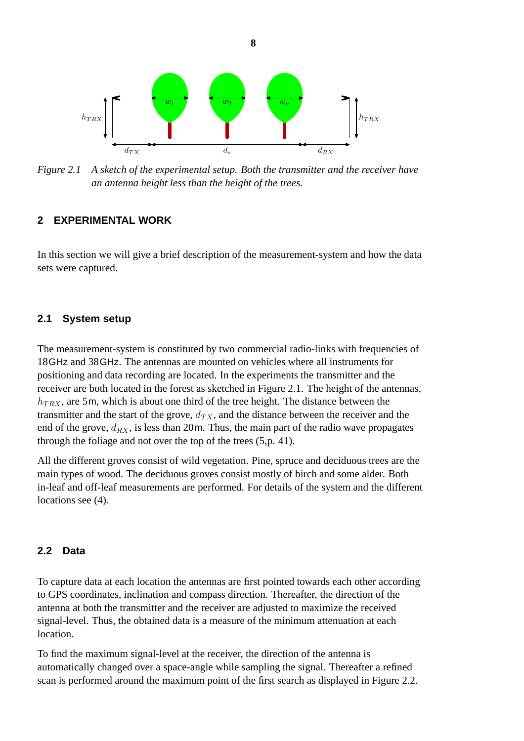

*Figure 2.1 A sketch of the experimental setup. Both the transmitter and the receiver have an antenna height less than the height of the trees.*

#### **2 EXPERIMENTAL WORK**

In this section we will give a brief description of the measurement-system and how the data sets were captured.

#### **2.1 System setup**

The measurement-system is constituted by two commercial radio-links with frequencies of 18GHz and 38GHz. The antennas are mounted on vehicles where all instruments for positioning and data recording are located. In the experiments the transmitter and the receiver are both located in the forest as sketched in Figure 2.1. The height of the antennas,  $h_{TRX}$ , are 5m, which is about one third of the tree height. The distance between the transmitter and the start of the grove,  $d_{TX}$ , and the distance between the receiver and the end of the grove,  $d_{RX}$ , is less than 20m. Thus, the main part of the radio wave propagates through the foliage and not over the top of the trees (5,p. 41).

All the different groves consist of wild vegetation. Pine, spruce and deciduous trees are the main types of wood. The deciduous groves consist mostly of birch and some alder. Both in-leaf and off-leaf measurements are performed. For details of the system and the different locations see  $(4)$ .

#### **2.2 Data**

To capture data at each location the antennas are first pointed towards each other according to GPS coordinates, inclination and compass direction. Thereafter, the direction of the antenna at both the transmitter and the receiver are adjusted to maximize the received signal-level. Thus, the obtained data is a measure of the minimum attenuation at each location.

To find the maximum signal-level at the receiver, the direction of the antenna is automatically changed over a space-angle while sampling the signal. Thereafter a refined scan is performed around the maximum point of the first search as displayed in Figure 2.2.

**8**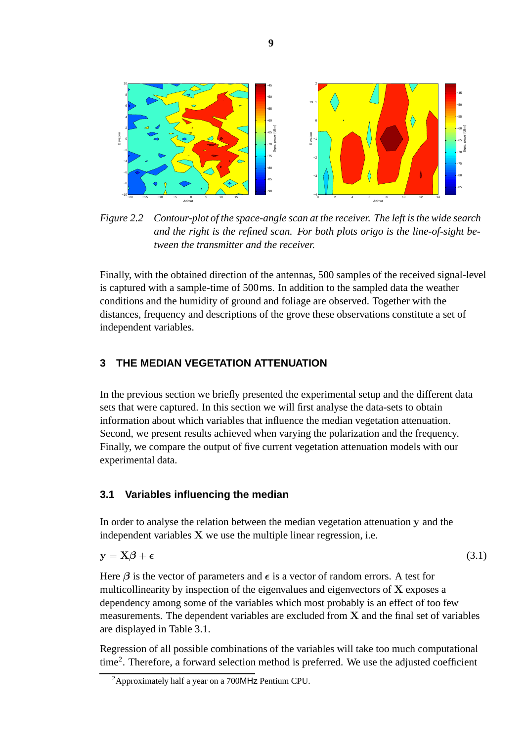

*Figure 2.2 Contour-plot of the space-angle scan at the receiver. The left is the wide search and the right is the refined scan. For both plots origo is the line-of-sight between the transmitter and the receiver.*

Finally, with the obtained direction of the antennas, 500 samples of the received signal-level is captured with a sample-time of 500ms. In addition to the sampled data the weather conditions and the humidity of ground and foliage are observed. Together with the distances, frequency and descriptions of the grove these observations constitute a set of independent variables.

#### **3 THE MEDIAN VEGETATION ATTENUATION**

In the previous section we briefly presented the experimental setup and the different data sets that were captured. In this section we will first analyse the data-sets to obtain information about which variables that influence the median vegetation attenuation. Second, we present results achieved when varying the polarization and the frequency. Finally, we compare the output of five current vegetation attenuation models with our experimental data.

#### **3.1 Variables influencing the median**

In order to analyse the relation between the median vegetation attenuation **y** and the independent variables **X** we use the multiple linear regression, i.e.

$$
y = X\beta + \epsilon \tag{3.1}
$$

Here  $\beta$  is the vector of parameters and  $\epsilon$  is a vector of random errors. A test for multicollinearity by inspection of the eigenvalues and eigenvectors of **X** exposes a dependency among some of the variables which most probably is an effect of too few measurements. The dependent variables are excluded from **X** and the final set of variables are displayed in Table 3.1.

Regression of all possible combinations of the variables will take too much computational time2. Therefore, a forward selection method is preferred. We use the adjusted coefficient

<sup>2</sup>Approximately half a year on a 700MHz Pentium CPU.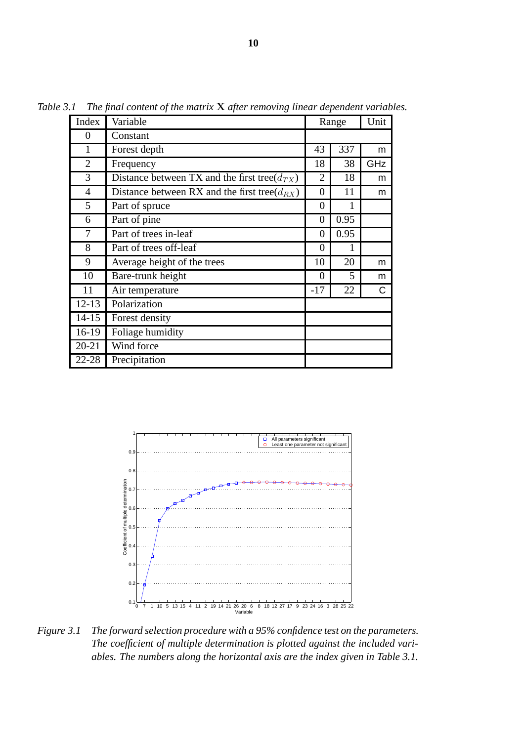| Index          | Variable                                           | Range          |      | Unit |
|----------------|----------------------------------------------------|----------------|------|------|
| 0              | Constant                                           |                |      |      |
| $\mathbf{1}$   | Forest depth                                       | 43             | 337  | m    |
| $\overline{2}$ | Frequency                                          | 18             | 38   | GHz  |
| 3              | Distance between TX and the first tree( $d_{TX}$ ) | $\overline{2}$ | 18   | m    |
| 4              | Distance between RX and the first tree( $d_{RX}$ ) | $\theta$       | 11   | m    |
| 5              | Part of spruce                                     | $\overline{0}$ |      |      |
| 6              | Part of pine                                       | $\overline{0}$ | 0.95 |      |
| 7              | Part of trees in-leaf                              | $\overline{0}$ | 0.95 |      |
| 8              | Part of trees off-leaf                             | $\theta$       | 1    |      |
| 9              | Average height of the trees                        | 10             | 20   | m    |
| 10             | Bare-trunk height                                  | $\theta$       | 5    | m    |
| 11             | Air temperature                                    | $-17$          | 22   | C    |
| $12 - 13$      | Polarization                                       |                |      |      |
| $14 - 15$      | Forest density                                     |                |      |      |
| $16-19$        | Foliage humidity                                   |                |      |      |
| $20 - 21$      | Wind force                                         |                |      |      |
| $22 - 28$      | Precipitation                                      |                |      |      |

*Table 3.1 The final content of the matrix* **X** *after removing linear dependent variables.*



*Figure 3.1 The forward selection procedure with a 95% confidence test on the parameters. The coefficient of multiple determination is plotted against the included variables. The numbers along the horizontal axis are the index given in Table 3.1.*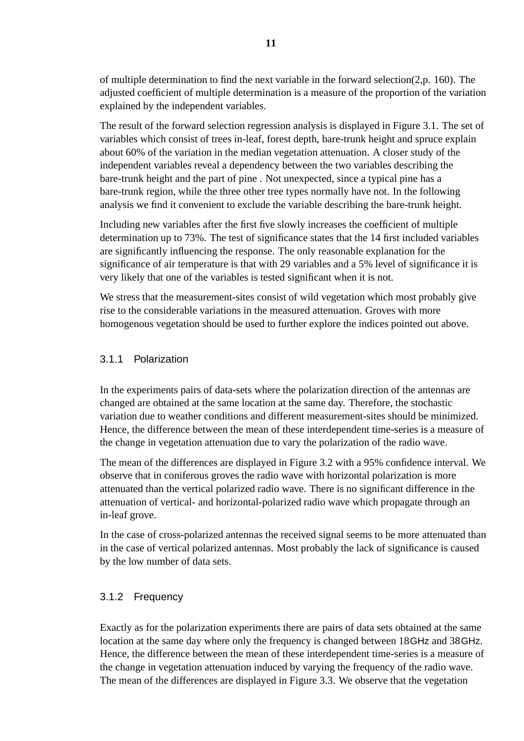of multiple determination to find the next variable in the forward selection(2,p. 160). The adjusted coefficient of multiple determination is a measure of the proportion of the variation explained by the independent variables.

The result of the forward selection regression analysis is displayed in Figure 3.1. The set of variables which consist of trees in-leaf, forest depth, bare-trunk height and spruce explain about 60% of the variation in the median vegetation attenuation. A closer study of the independent variables reveal a dependency between the two variables describing the bare-trunk height and the part of pine . Not unexpected, since a typical pine has a bare-trunk region, while the three other tree types normally have not. In the following analysis we find it convenient to exclude the variable describing the bare-trunk height.

Including new variables after the first five slowly increases the coefficient of multiple determination up to 73%. The test of significance states that the 14 first included variables are significantly influencing the response. The only reasonable explanation for the significance of air temperature is that with 29 variables and a 5% level of significance it is very likely that one of the variables is tested significant when it is not.

We stress that the measurement-sites consist of wild vegetation which most probably give rise to the considerable variations in the measured attenuation. Groves with more homogenous vegetation should be used to further explore the indices pointed out above.

#### 3.1.1 Polarization

In the experiments pairs of data-sets where the polarization direction of the antennas are changed are obtained at the same location at the same day. Therefore, the stochastic variation due to weather conditions and different measurement-sites should be minimized. Hence, the difference between the mean of these interdependent time-series is a measure of the change in vegetation attenuation due to vary the polarization of the radio wave.

The mean of the differences are displayed in Figure 3.2 with a 95% confidence interval. We observe that in coniferous groves the radio wave with horizontal polarization is more attenuated than the vertical polarized radio wave. There is no significant difference in the attenuation of vertical- and horizontal-polarized radio wave which propagate through an in-leaf grove.

In the case of cross-polarized antennas the received signal seems to be more attenuated than in the case of vertical polarized antennas. Most probably the lack of significance is caused by the low number of data sets.

#### 3.1.2 Frequency

Exactly as for the polarization experiments there are pairs of data sets obtained at the same location at the same day where only the frequency is changed between 18GHz and 38GHz. Hence, the difference between the mean of these interdependent time-series is a measure of the change in vegetation attenuation induced by varying the frequency of the radio wave. The mean of the differences are displayed in Figure 3.3. We observe that the vegetation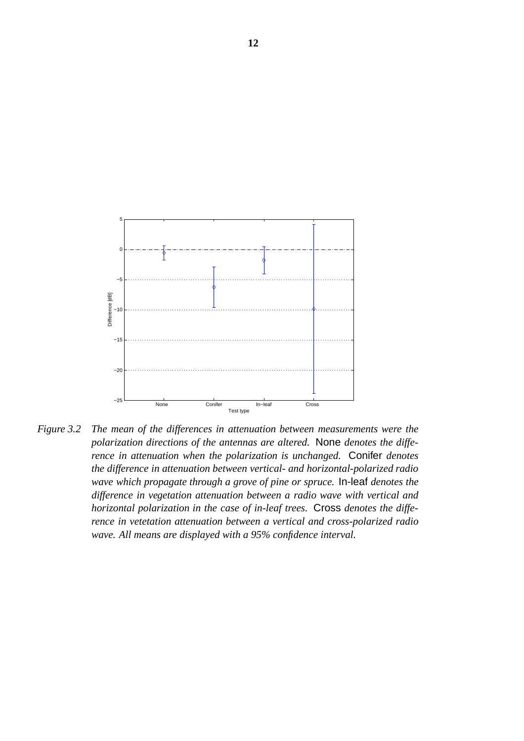

*Figure 3.2 The mean of the differences in attenuation between measurements were the polarization directions of the antennas are altered.* None *denotes the difference in attenuation when the polarization is unchanged.* Conifer *denotes the difference in attenuation between vertical- and horizontal-polarized radio wave which propagate through a grove of pine or spruce.* In-leaf *denotes the difference in vegetation attenuation between a radio wave with vertical and horizontal polarization in the case of in-leaf trees.* Cross *denotes the difference in vetetation attenuation between a vertical and cross-polarized radio wave. All means are displayed with a 95% confidence interval.*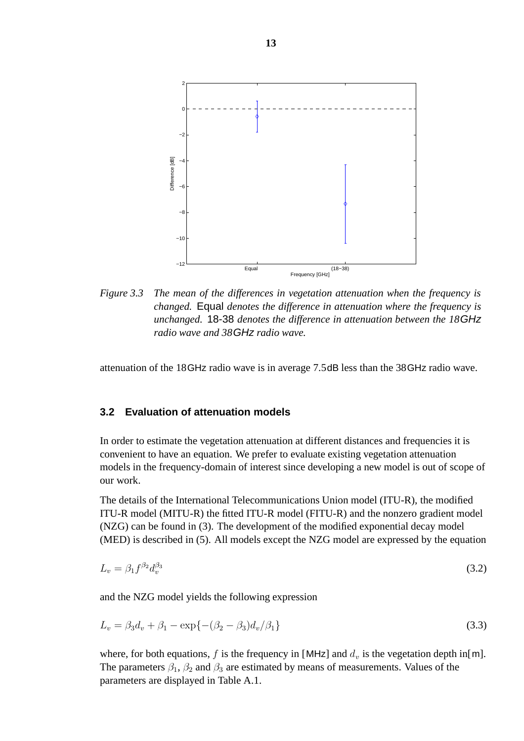

*Figure 3.3 The mean of the differences in vegetation attenuation when the frequency is changed.* Equal *denotes the difference in attenuation where the frequency is unchanged.* 18-38 *denotes the difference in attenuation between the 18*GHz *radio wave and 38*GHz *radio wave.*

attenuation of the 18GHz radio wave is in average 7.5dB less than the 38GHz radio wave.

#### **3.2 Evaluation of attenuation models**

In order to estimate the vegetation attenuation at different distances and frequencies it is convenient to have an equation. We prefer to evaluate existing vegetation attenuation models in the frequency-domain of interest since developing a new model is out of scope of our work.

The details of the International Telecommunications Union model (ITU-R), the modified ITU-R model (MITU-R) the fitted ITU-R model (FITU-R) and the nonzero gradient model (NZG) can be found in (3). The development of the modified exponential decay model (MED) is described in (5). All models except the NZG model are expressed by the equation

$$
L_v = \beta_1 f^{\beta_2} d_v^{\beta_3} \tag{3.2}
$$

and the NZG model yields the following expression

$$
L_v = \beta_3 d_v + \beta_1 - \exp\{- (\beta_2 - \beta_3) d_v / \beta_1\}
$$
\n(3.3)

where, for both equations, f is the frequency in [MHz] and  $d<sub>v</sub>$  is the vegetation depth in[m]. The parameters  $\beta_1$ ,  $\beta_2$  and  $\beta_3$  are estimated by means of measurements. Values of the parameters are displayed in Table A.1.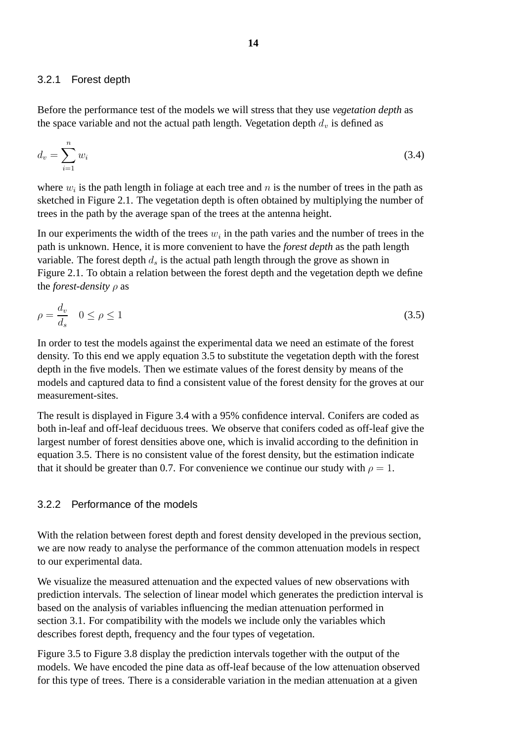#### 3.2.1 Forest depth

Before the performance test of the models we will stress that they use *vegetation depth* as the space variable and not the actual path length. Vegetation depth  $d<sub>v</sub>$  is defined as

$$
d_v = \sum_{i=1}^n w_i \tag{3.4}
$$

where  $w_i$  is the path length in foliage at each tree and n is the number of trees in the path as sketched in Figure 2.1. The vegetation depth is often obtained by multiplying the number of trees in the path by the average span of the trees at the antenna height.

In our experiments the width of the trees  $w_i$  in the path varies and the number of trees in the path is unknown. Hence, it is more convenient to have the *forest depth* as the path length variable. The forest depth  $d_s$  is the actual path length through the grove as shown in Figure 2.1. To obtain a relation between the forest depth and the vegetation depth we define the *forest-density* ρ as

$$
\rho = \frac{d_v}{d_s} \quad 0 \le \rho \le 1 \tag{3.5}
$$

In order to test the models against the experimental data we need an estimate of the forest density. To this end we apply equation 3.5 to substitute the vegetation depth with the forest depth in the five models. Then we estimate values of the forest density by means of the models and captured data to find a consistent value of the forest density for the groves at our measurement-sites.

The result is displayed in Figure 3.4 with a 95% confidence interval. Conifers are coded as both in-leaf and off-leaf deciduous trees. We observe that conifers coded as off-leaf give the largest number of forest densities above one, which is invalid according to the definition in equation 3.5. There is no consistent value of the forest density, but the estimation indicate that it should be greater than 0.7. For convenience we continue our study with  $\rho = 1$ .

#### 3.2.2 Performance of the models

With the relation between forest depth and forest density developed in the previous section, we are now ready to analyse the performance of the common attenuation models in respect to our experimental data.

We visualize the measured attenuation and the expected values of new observations with prediction intervals. The selection of linear model which generates the prediction interval is based on the analysis of variables influencing the median attenuation performed in section 3.1. For compatibility with the models we include only the variables which describes forest depth, frequency and the four types of vegetation.

Figure 3.5 to Figure 3.8 display the prediction intervals together with the output of the models. We have encoded the pine data as off-leaf because of the low attenuation observed for this type of trees. There is a considerable variation in the median attenuation at a given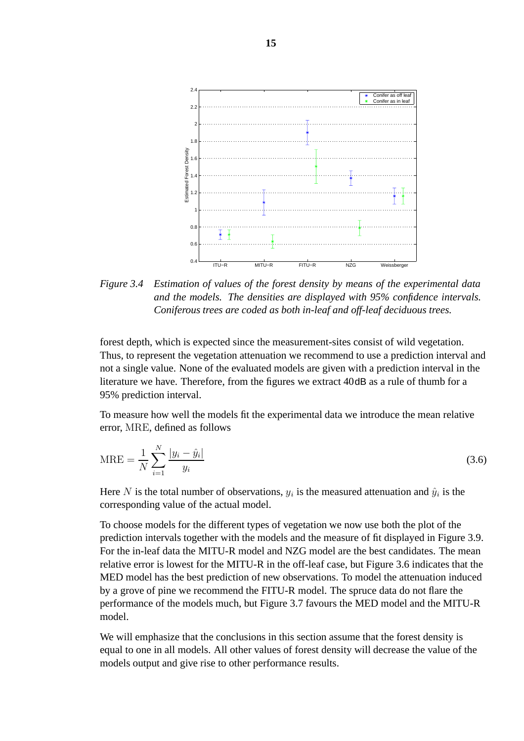

*Figure 3.4 Estimation of values of the forest density by means of the experimental data and the models. The densities are displayed with 95% confidence intervals. Coniferous trees are coded as both in-leaf and off-leaf deciduous trees.*

forest depth, which is expected since the measurement-sites consist of wild vegetation. Thus, to represent the vegetation attenuation we recommend to use a prediction interval and not a single value. None of the evaluated models are given with a prediction interval in the literature we have. Therefore, from the figures we extract 40dB as a rule of thumb for a 95% prediction interval.

To measure how well the models fit the experimental data we introduce the mean relative error, MRE, defined as follows

$$
MRE = \frac{1}{N} \sum_{i=1}^{N} \frac{|y_i - \hat{y}_i|}{y_i}
$$
 (3.6)

Here N is the total number of observations,  $y_i$  is the measured attenuation and  $\hat{y}_i$  is the corresponding value of the actual model.

To choose models for the different types of vegetation we now use both the plot of the prediction intervals together with the models and the measure of fit displayed in Figure 3.9. For the in-leaf data the MITU-R model and NZG model are the best candidates. The mean relative error is lowest for the MITU-R in the off-leaf case, but Figure 3.6 indicates that the MED model has the best prediction of new observations. To model the attenuation induced by a grove of pine we recommend the FITU-R model. The spruce data do not flare the performance of the models much, but Figure 3.7 favours the MED model and the MITU-R model.

We will emphasize that the conclusions in this section assume that the forest density is equal to one in all models. All other values of forest density will decrease the value of the models output and give rise to other performance results.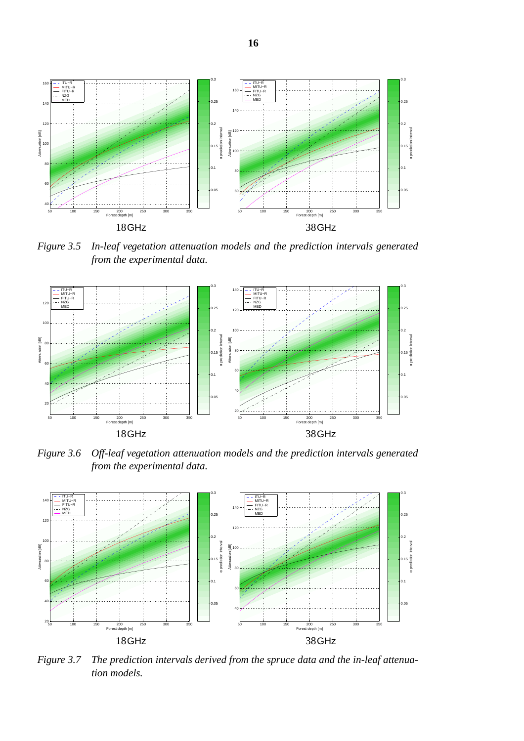

*Figure 3.5 In-leaf vegetation attenuation models and the prediction intervals generated from the experimental data.*



*Figure 3.6 Off-leaf vegetation attenuation models and the prediction intervals generated from the experimental data.*



*Figure 3.7 The prediction intervals derived from the spruce data and the in-leaf attenuation models.*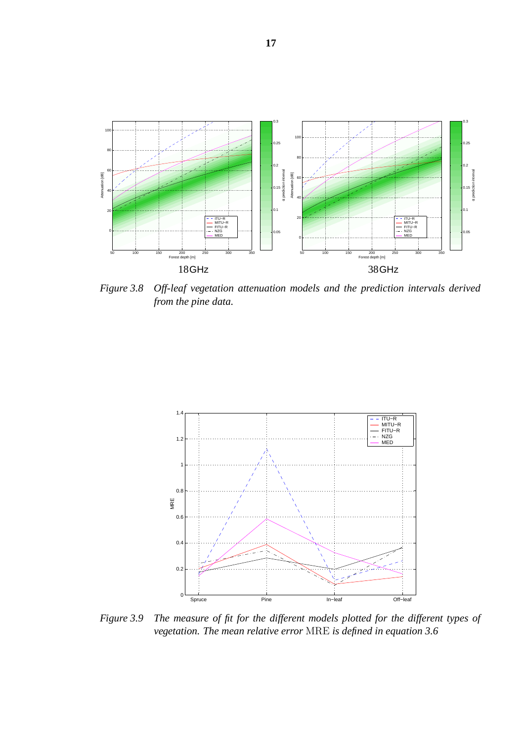

*Figure 3.8 Off-leaf vegetation attenuation models and the prediction intervals derived from the pine data.*



*Figure 3.9 The measure of fit for the different models plotted for the different types of vegetation. The mean relative error* MRE *is defined in equation 3.6*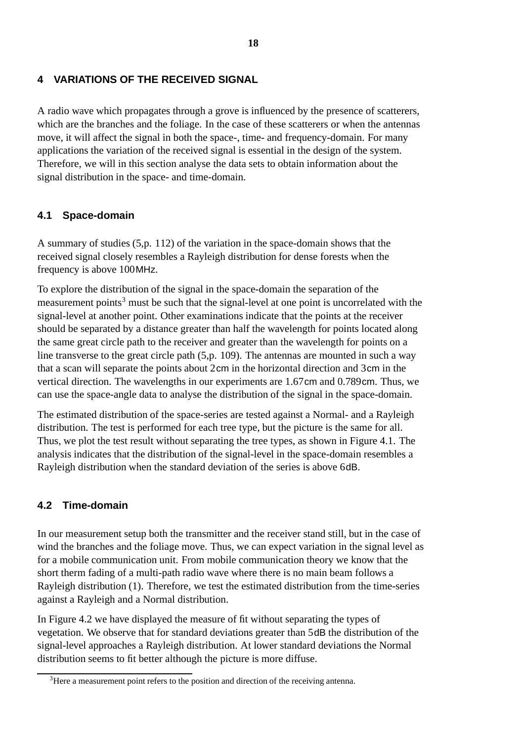#### **4 VARIATIONS OF THE RECEIVED SIGNAL**

A radio wave which propagates through a grove is influenced by the presence of scatterers, which are the branches and the foliage. In the case of these scatterers or when the antennas move, it will affect the signal in both the space-, time- and frequency-domain. For many applications the variation of the received signal is essential in the design of the system. Therefore, we will in this section analyse the data sets to obtain information about the signal distribution in the space- and time-domain.

### **4.1 Space-domain**

A summary of studies (5,p. 112) of the variation in the space-domain shows that the received signal closely resembles a Rayleigh distribution for dense forests when the frequency is above 100MHz.

To explore the distribution of the signal in the space-domain the separation of the measurement points<sup>3</sup> must be such that the signal-level at one point is uncorrelated with the signal-level at another point. Other examinations indicate that the points at the receiver should be separated by a distance greater than half the wavelength for points located along the same great circle path to the receiver and greater than the wavelength for points on a line transverse to the great circle path (5,p. 109). The antennas are mounted in such a way that a scan will separate the points about 2cm in the horizontal direction and 3cm in the vertical direction. The wavelengths in our experiments are 1.67cm and 0.789cm. Thus, we can use the space-angle data to analyse the distribution of the signal in the space-domain.

The estimated distribution of the space-series are tested against a Normal- and a Rayleigh distribution. The test is performed for each tree type, but the picture is the same for all. Thus, we plot the test result without separating the tree types, as shown in Figure 4.1. The analysis indicates that the distribution of the signal-level in the space-domain resembles a Rayleigh distribution when the standard deviation of the series is above 6dB.

#### **4.2 Time-domain**

In our measurement setup both the transmitter and the receiver stand still, but in the case of wind the branches and the foliage move. Thus, we can expect variation in the signal level as for a mobile communication unit. From mobile communication theory we know that the short therm fading of a multi-path radio wave where there is no main beam follows a Rayleigh distribution (1). Therefore, we test the estimated distribution from the time-series against a Rayleigh and a Normal distribution.

In Figure 4.2 we have displayed the measure of fit without separating the types of vegetation. We observe that for standard deviations greater than 5dB the distribution of the signal-level approaches a Rayleigh distribution. At lower standard deviations the Normal distribution seems to fit better although the picture is more diffuse.

<sup>&</sup>lt;sup>3</sup>Here a measurement point refers to the position and direction of the receiving antenna.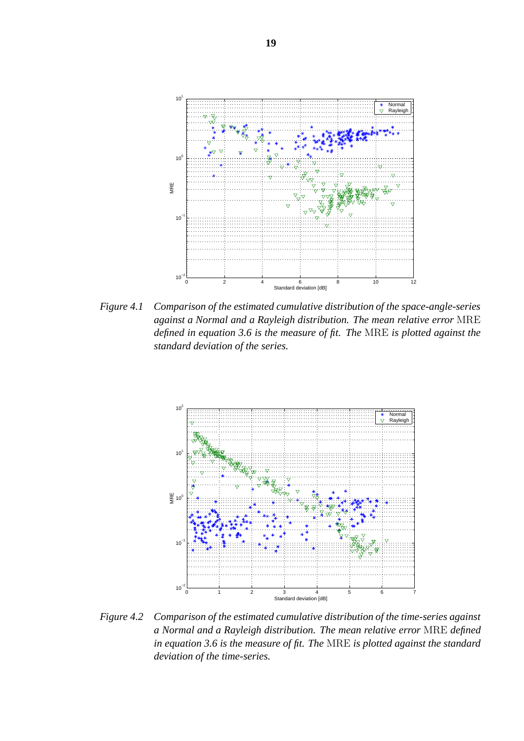

*Figure 4.1 Comparison of the estimated cumulative distribution of the space-angle-series against a Normal and a Rayleigh distribution. The mean relative error* MRE *defined in equation 3.6 is the measure of fit. The* MRE *is plotted against the standard deviation of the series.*



*Figure 4.2 Comparison of the estimated cumulative distribution of the time-series against a Normal and a Rayleigh distribution. The mean relative error* MRE *defined in equation 3.6 is the measure of fit. The* MRE *is plotted against the standard deviation of the time-series.*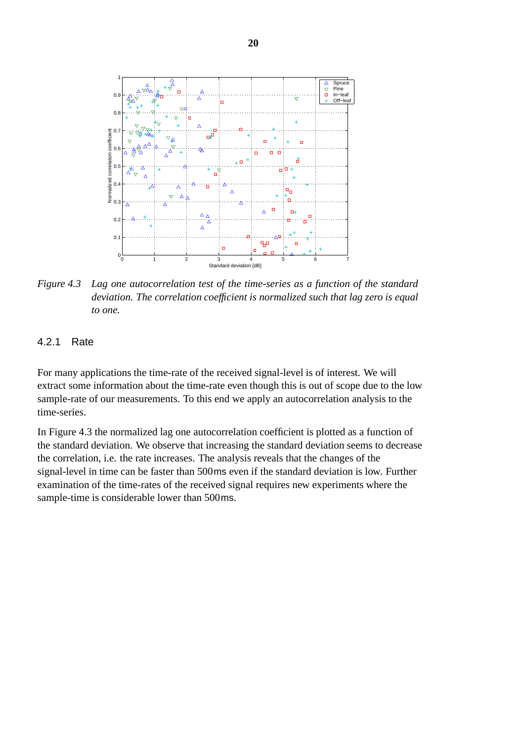

*Figure 4.3 Lag one autocorrelation test of the time-series as a function of the standard deviation. The correlation coefficient is normalized such that lag zero is equal to one.*

#### 4.2.1 Rate

For many applications the time-rate of the received signal-level is of interest. We will extract some information about the time-rate even though this is out of scope due to the low sample-rate of our measurements. To this end we apply an autocorrelation analysis to the time-series.

In Figure 4.3 the normalized lag one autocorrelation coefficient is plotted as a function of the standard deviation. We observe that increasing the standard deviation seems to decrease the correlation, i.e. the rate increases. The analysis reveals that the changes of the signal-level in time can be faster than 500ms even if the standard deviation is low. Further examination of the time-rates of the received signal requires new experiments where the sample-time is considerable lower than 500ms.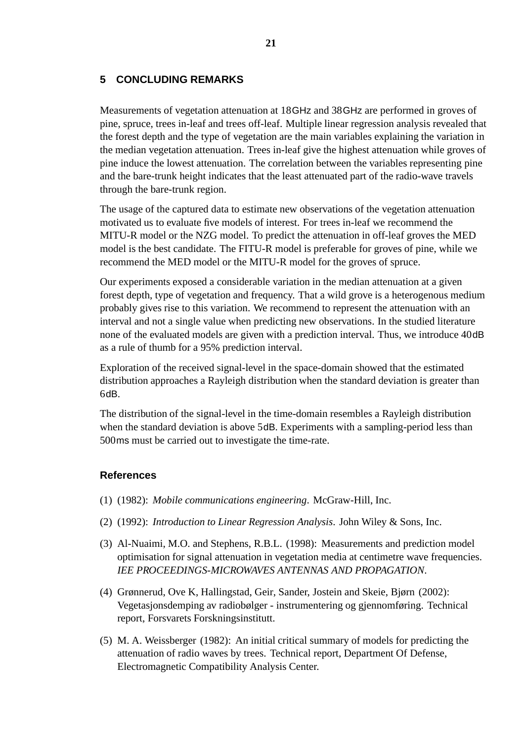#### **5 CONCLUDING REMARKS**

Measurements of vegetation attenuation at 18GHz and 38GHz are performed in groves of pine, spruce, trees in-leaf and trees off-leaf. Multiple linear regression analysis revealed that the forest depth and the type of vegetation are the main variables explaining the variation in the median vegetation attenuation. Trees in-leaf give the highest attenuation while groves of pine induce the lowest attenuation. The correlation between the variables representing pine and the bare-trunk height indicates that the least attenuated part of the radio-wave travels through the bare-trunk region.

The usage of the captured data to estimate new observations of the vegetation attenuation motivated us to evaluate five models of interest. For trees in-leaf we recommend the MITU-R model or the NZG model. To predict the attenuation in off-leaf groves the MED model is the best candidate. The FITU-R model is preferable for groves of pine, while we recommend the MED model or the MITU-R model for the groves of spruce.

Our experiments exposed a considerable variation in the median attenuation at a given forest depth, type of vegetation and frequency. That a wild grove is a heterogenous medium probably gives rise to this variation. We recommend to represent the attenuation with an interval and not a single value when predicting new observations. In the studied literature none of the evaluated models are given with a prediction interval. Thus, we introduce 40dB as a rule of thumb for a 95% prediction interval.

Exploration of the received signal-level in the space-domain showed that the estimated distribution approaches a Rayleigh distribution when the standard deviation is greater than 6dB.

The distribution of the signal-level in the time-domain resembles a Rayleigh distribution when the standard deviation is above 5dB. Experiments with a sampling-period less than 500ms must be carried out to investigate the time-rate.

#### **References**

- (1) (1982): *Mobile communications engineering*. McGraw-Hill, Inc.
- (2) (1992): *Introduction to Linear Regression Analysis*. John Wiley & Sons, Inc.
- (3) Al-Nuaimi, M.O. and Stephens, R.B.L. (1998): Measurements and prediction model optimisation for signal attenuation in vegetation media at centimetre wave frequencies. *IEE PROCEEDINGS-MICROWAVES ANTENNAS AND PROPAGATION*.
- (4) Grønnerud, Ove K, Hallingstad, Geir, Sander, Jostein and Skeie, Bjørn (2002): Vegetasjonsdemping av radiobølger - instrumentering og gjennomføring. Technical report, Forsvarets Forskningsinstitutt.
- (5) M. A. Weissberger (1982): An initial critical summary of models for predicting the attenuation of radio waves by trees. Technical report, Department Of Defense, Electromagnetic Compatibility Analysis Center.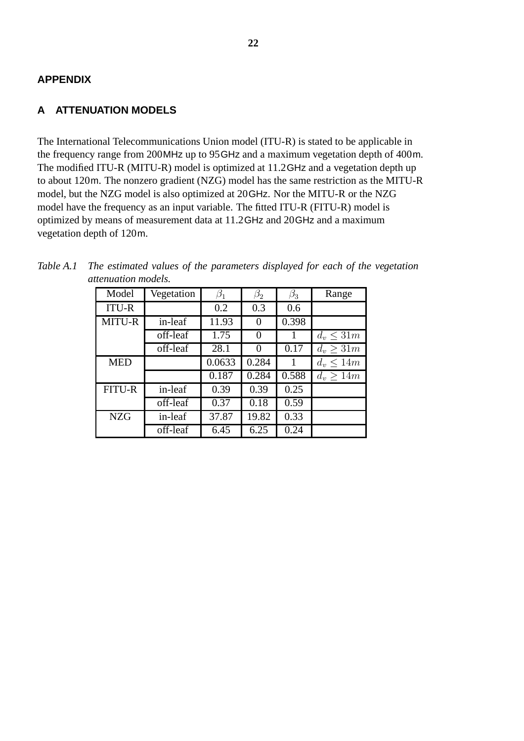#### **APPENDIX**

#### **A ATTENUATION MODELS**

The International Telecommunications Union model (ITU-R) is stated to be applicable in the frequency range from 200MHz up to 95GHz and a maximum vegetation depth of 400m. The modified ITU-R (MITU-R) model is optimized at 11.2GHz and a vegetation depth up to about 120m. The nonzero gradient (NZG) model has the same restriction as the MITU-R model, but the NZG model is also optimized at 20GHz. Nor the MITU-R or the NZG model have the frequency as an input variable. The fitted ITU-R (FITU-R) model is optimized by means of measurement data at 11.2GHz and 20GHz and a maximum vegetation depth of 120m.

| unennunnon moucus. |            |           |                    |           |                |
|--------------------|------------|-----------|--------------------|-----------|----------------|
| Model              | Vegetation | $\beta_1$ | $\beta_2$          | $\beta_3$ | Range          |
| <b>ITU-R</b>       |            | 0.2       | 0.3                | 0.6       |                |
| MITU-R             | in-leaf    | 11.93     | 0                  | 0.398     |                |
|                    | off-leaf   | 1.75      | $\Omega$           |           | $d_v \leq 31m$ |
|                    | off-leaf   | 28.1      | 0                  | 0.17      | $d_v \geq 31m$ |
| <b>MED</b>         |            | 0.0633    | 0.284              |           | $d_v \leq 14m$ |
|                    |            | 0.187     | $\overline{0.284}$ | 0.588     | $d_v > 14m$    |
| <b>FITU-R</b>      | in-leaf    | 0.39      | 0.39               | 0.25      |                |
|                    | off-leaf   | 0.37      | 0.18               | 0.59      |                |
| <b>NZG</b>         | in-leaf    | 37.87     | 19.82              | 0.33      |                |
|                    | off-leaf   | 6.45      | 6.25               | 0.24      |                |

| Table A.1 The estimated values of the parameters displayed for each of the vegetation |
|---------------------------------------------------------------------------------------|
| <i>attenuation models.</i>                                                            |